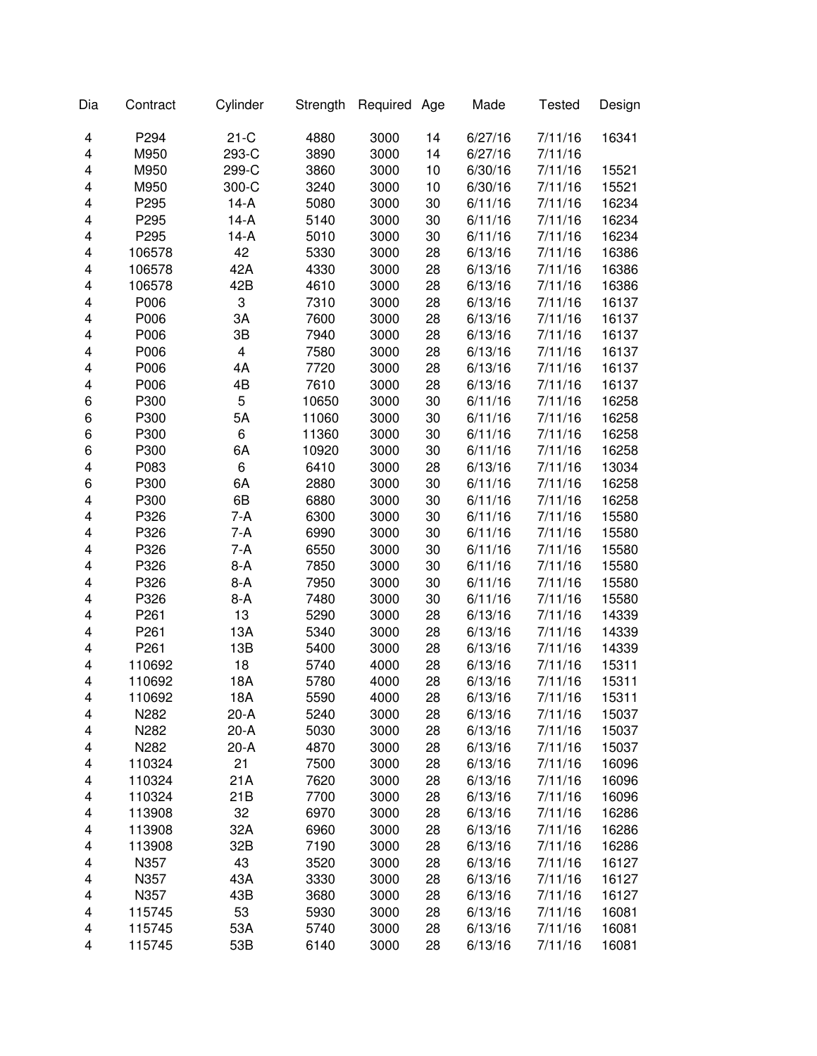| Dia | Contract | Cylinder | Strength | Required | Age | Made    | <b>Tested</b> | Design |
|-----|----------|----------|----------|----------|-----|---------|---------------|--------|
| 4   | P294     | $21-C$   | 4880     | 3000     | 14  | 6/27/16 | 7/11/16       | 16341  |
| 4   | M950     | 293-C    | 3890     | 3000     | 14  | 6/27/16 | 7/11/16       |        |
| 4   | M950     | 299-C    | 3860     | 3000     | 10  | 6/30/16 | 7/11/16       | 15521  |
| 4   | M950     | 300-C    | 3240     | 3000     | 10  | 6/30/16 | 7/11/16       | 15521  |
| 4   | P295     | 14-A     | 5080     | 3000     | 30  | 6/11/16 | 7/11/16       | 16234  |
| 4   | P295     | $14-A$   | 5140     | 3000     | 30  | 6/11/16 | 7/11/16       | 16234  |
| 4   | P295     | $14-A$   | 5010     | 3000     | 30  | 6/11/16 | 7/11/16       | 16234  |
| 4   | 106578   | 42       | 5330     | 3000     | 28  | 6/13/16 | 7/11/16       | 16386  |
| 4   | 106578   | 42A      | 4330     | 3000     | 28  | 6/13/16 | 7/11/16       | 16386  |
| 4   | 106578   | 42B      | 4610     | 3000     | 28  | 6/13/16 | 7/11/16       | 16386  |
| 4   | P006     | 3        | 7310     | 3000     | 28  | 6/13/16 | 7/11/16       | 16137  |
| 4   | P006     | 3A       | 7600     | 3000     | 28  | 6/13/16 | 7/11/16       | 16137  |
| 4   | P006     | 3B       | 7940     | 3000     | 28  | 6/13/16 | 7/11/16       | 16137  |
| 4   | P006     | 4        | 7580     | 3000     | 28  | 6/13/16 | 7/11/16       | 16137  |
| 4   | P006     | 4A       | 7720     | 3000     | 28  | 6/13/16 | 7/11/16       | 16137  |
| 4   | P006     | 4B       | 7610     | 3000     | 28  | 6/13/16 | 7/11/16       | 16137  |
| 6   | P300     | 5        | 10650    | 3000     | 30  | 6/11/16 | 7/11/16       | 16258  |
| 6   | P300     | 5A       | 11060    | 3000     | 30  | 6/11/16 | 7/11/16       | 16258  |
| 6   | P300     | 6        | 11360    | 3000     | 30  | 6/11/16 | 7/11/16       | 16258  |
| 6   | P300     | 6A       | 10920    | 3000     | 30  | 6/11/16 | 7/11/16       | 16258  |
| 4   | P083     | 6        | 6410     | 3000     | 28  | 6/13/16 | 7/11/16       | 13034  |
| 6   | P300     | 6A       | 2880     | 3000     | 30  | 6/11/16 | 7/11/16       | 16258  |
| 4   | P300     | 6B       | 6880     | 3000     | 30  | 6/11/16 | 7/11/16       | 16258  |
| 4   | P326     | $7-A$    | 6300     | 3000     | 30  | 6/11/16 | 7/11/16       | 15580  |
| 4   | P326     | $7-A$    | 6990     | 3000     | 30  | 6/11/16 | 7/11/16       | 15580  |
| 4   | P326     | $7-A$    | 6550     | 3000     | 30  | 6/11/16 | 7/11/16       | 15580  |
| 4   | P326     | $8-A$    | 7850     | 3000     | 30  | 6/11/16 | 7/11/16       | 15580  |
| 4   | P326     | $8-A$    | 7950     | 3000     | 30  | 6/11/16 | 7/11/16       | 15580  |
| 4   | P326     | $8-A$    | 7480     | 3000     | 30  | 6/11/16 | 7/11/16       | 15580  |
| 4   | P261     | 13       | 5290     | 3000     | 28  | 6/13/16 | 7/11/16       | 14339  |
| 4   | P261     | 13A      | 5340     | 3000     | 28  | 6/13/16 | 7/11/16       | 14339  |
| 4   | P261     | 13B      | 5400     | 3000     | 28  | 6/13/16 | 7/11/16       | 14339  |
| 4   | 110692   | 18       | 5740     | 4000     | 28  | 6/13/16 | 7/11/16       | 15311  |
| 4   | 110692   | 18A      | 5780     | 4000     | 28  | 6/13/16 | 7/11/16       | 15311  |
| 4   | 110692   | 18A      | 5590     | 4000     | 28  | 6/13/16 | 7/11/16       | 15311  |
| 4   | N282     | $20-A$   | 5240     | 3000     | 28  | 6/13/16 | 7/11/16       | 15037  |
| 4   | N282     | $20-A$   | 5030     | 3000     | 28  | 6/13/16 | 7/11/16       | 15037  |
| 4   | N282     | $20-A$   | 4870     | 3000     | 28  | 6/13/16 | 7/11/16       | 15037  |
| 4   | 110324   | 21       | 7500     | 3000     | 28  | 6/13/16 | 7/11/16       | 16096  |
| 4   | 110324   | 21A      | 7620     | 3000     | 28  | 6/13/16 | 7/11/16       | 16096  |
| 4   | 110324   | 21B      | 7700     | 3000     | 28  | 6/13/16 | 7/11/16       | 16096  |
| 4   | 113908   | 32       | 6970     | 3000     | 28  | 6/13/16 | 7/11/16       | 16286  |
| 4   | 113908   | 32A      | 6960     | 3000     | 28  | 6/13/16 | 7/11/16       | 16286  |
| 4   | 113908   | 32B      | 7190     | 3000     | 28  | 6/13/16 | 7/11/16       | 16286  |
| 4   | N357     | 43       | 3520     | 3000     | 28  | 6/13/16 | 7/11/16       | 16127  |
| 4   | N357     | 43A      | 3330     | 3000     | 28  | 6/13/16 | 7/11/16       | 16127  |
| 4   | N357     | 43B      | 3680     | 3000     | 28  | 6/13/16 | 7/11/16       | 16127  |
| 4   | 115745   | 53       | 5930     | 3000     | 28  | 6/13/16 | 7/11/16       | 16081  |
| 4   | 115745   | 53A      | 5740     | 3000     | 28  | 6/13/16 | 7/11/16       | 16081  |
| 4   | 115745   | 53B      | 6140     | 3000     | 28  | 6/13/16 | 7/11/16       | 16081  |
|     |          |          |          |          |     |         |               |        |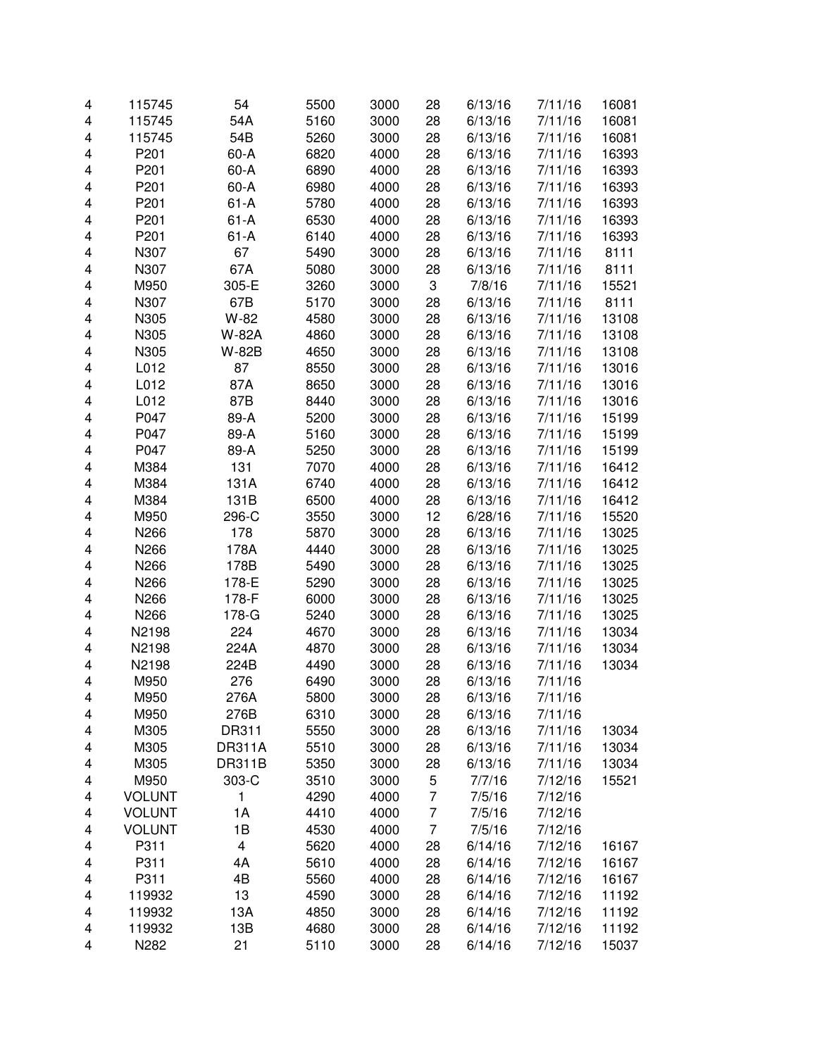| 4 | 115745           | 54                      | 5500 | 3000 | 28             | 6/13/16 | 7/11/16 | 16081 |
|---|------------------|-------------------------|------|------|----------------|---------|---------|-------|
| 4 | 115745           | 54A                     | 5160 | 3000 | 28             | 6/13/16 | 7/11/16 | 16081 |
| 4 | 115745           | 54B                     | 5260 | 3000 | 28             | 6/13/16 | 7/11/16 | 16081 |
| 4 | P201             | $60-A$                  | 6820 | 4000 | 28             | 6/13/16 | 7/11/16 | 16393 |
| 4 | P201             | $60-A$                  | 6890 | 4000 | 28             | 6/13/16 | 7/11/16 | 16393 |
| 4 | P <sub>201</sub> | $60-A$                  | 6980 | 4000 | 28             | 6/13/16 | 7/11/16 | 16393 |
| 4 | P <sub>201</sub> | $61-A$                  | 5780 | 4000 | 28             | 6/13/16 | 7/11/16 | 16393 |
| 4 | P201             | $61 - A$                | 6530 | 4000 | 28             | 6/13/16 | 7/11/16 | 16393 |
| 4 | P <sub>201</sub> | $61-A$                  | 6140 | 4000 | 28             | 6/13/16 | 7/11/16 | 16393 |
| 4 | N307             | 67                      | 5490 | 3000 | 28             | 6/13/16 | 7/11/16 | 8111  |
| 4 | N307             | 67A                     | 5080 | 3000 | 28             | 6/13/16 | 7/11/16 | 8111  |
| 4 | M950             | 305-E                   | 3260 | 3000 | 3              | 7/8/16  | 7/11/16 | 15521 |
| 4 | N307             | 67B                     | 5170 | 3000 | 28             | 6/13/16 | 7/11/16 | 8111  |
| 4 | N305             | W-82                    | 4580 | 3000 | 28             | 6/13/16 | 7/11/16 | 13108 |
| 4 | N305             | W-82A                   | 4860 | 3000 | 28             | 6/13/16 | 7/11/16 | 13108 |
| 4 | N305             | W-82B                   | 4650 | 3000 | 28             | 6/13/16 | 7/11/16 | 13108 |
| 4 | L012             | 87                      | 8550 | 3000 | 28             | 6/13/16 | 7/11/16 | 13016 |
| 4 | L012             | 87A                     | 8650 | 3000 | 28             | 6/13/16 | 7/11/16 | 13016 |
| 4 | L012             | 87B                     | 8440 | 3000 | 28             | 6/13/16 | 7/11/16 | 13016 |
| 4 | P047             | 89-A                    | 5200 | 3000 | 28             | 6/13/16 | 7/11/16 | 15199 |
| 4 | P047             | 89-A                    | 5160 | 3000 | 28             | 6/13/16 | 7/11/16 | 15199 |
| 4 | P047             | 89-A                    | 5250 | 3000 | 28             | 6/13/16 | 7/11/16 | 15199 |
| 4 | M384             | 131                     | 7070 | 4000 | 28             | 6/13/16 | 7/11/16 | 16412 |
| 4 | M384             | 131A                    | 6740 | 4000 | 28             | 6/13/16 | 7/11/16 | 16412 |
| 4 | M384             | 131B                    | 6500 | 4000 | 28             | 6/13/16 | 7/11/16 | 16412 |
| 4 | M950             | 296-C                   | 3550 | 3000 | 12             | 6/28/16 | 7/11/16 | 15520 |
| 4 | N266             | 178                     | 5870 | 3000 | 28             | 6/13/16 | 7/11/16 | 13025 |
| 4 | N266             | 178A                    | 4440 | 3000 | 28             | 6/13/16 | 7/11/16 | 13025 |
| 4 | N266             | 178B                    | 5490 | 3000 | 28             | 6/13/16 | 7/11/16 | 13025 |
| 4 | N266             | 178-E                   | 5290 | 3000 | 28             | 6/13/16 | 7/11/16 | 13025 |
| 4 | N266             | 178-F                   | 6000 | 3000 | 28             | 6/13/16 | 7/11/16 | 13025 |
| 4 | N266             | 178-G                   | 5240 | 3000 | 28             | 6/13/16 | 7/11/16 | 13025 |
| 4 | N2198            | 224                     | 4670 | 3000 | 28             | 6/13/16 | 7/11/16 | 13034 |
| 4 | N2198            | 224A                    | 4870 | 3000 | 28             | 6/13/16 | 7/11/16 | 13034 |
| 4 | N2198            | 224B                    | 4490 | 3000 | 28             | 6/13/16 | 7/11/16 | 13034 |
| 4 | M950             | 276                     | 6490 | 3000 | 28             | 6/13/16 | 7/11/16 |       |
| 4 | M950             | 276A                    | 5800 | 3000 | 28             | 6/13/16 | 7/11/16 |       |
| 4 | M950             | 276B                    | 6310 | 3000 | 28             | 6/13/16 | 7/11/16 |       |
| 4 | M305             | DR311                   | 5550 | 3000 | 28             | 6/13/16 | 7/11/16 | 13034 |
| 4 | M305             | <b>DR311A</b>           | 5510 | 3000 | 28             | 6/13/16 | 7/11/16 | 13034 |
| 4 | M305             | <b>DR311B</b>           | 5350 | 3000 | 28             | 6/13/16 | 7/11/16 | 13034 |
| 4 | M950             | 303-C                   | 3510 | 3000 | 5              | 7/7/16  | 7/12/16 | 15521 |
| 4 | <b>VOLUNT</b>    | 1                       | 4290 | 4000 | $\overline{7}$ | 7/5/16  | 7/12/16 |       |
| 4 | <b>VOLUNT</b>    | 1A                      | 4410 | 4000 | $\overline{7}$ | 7/5/16  | 7/12/16 |       |
| 4 | <b>VOLUNT</b>    | 1B                      | 4530 | 4000 | $\overline{7}$ | 7/5/16  | 7/12/16 |       |
| 4 | P311             | $\overline{\mathbf{4}}$ | 5620 | 4000 | 28             | 6/14/16 | 7/12/16 | 16167 |
| 4 | P311             | 4A                      | 5610 | 4000 | 28             | 6/14/16 | 7/12/16 | 16167 |
| 4 | P311             | 4B                      | 5560 | 4000 | 28             | 6/14/16 | 7/12/16 | 16167 |
| 4 | 119932           | 13                      | 4590 | 3000 | 28             | 6/14/16 | 7/12/16 | 11192 |
| 4 | 119932           | 13A                     | 4850 | 3000 | 28             | 6/14/16 | 7/12/16 | 11192 |
| 4 | 119932           | 13B                     | 4680 | 3000 | 28             | 6/14/16 | 7/12/16 | 11192 |
| 4 | N282             | 21                      | 5110 | 3000 | 28             | 6/14/16 | 7/12/16 | 15037 |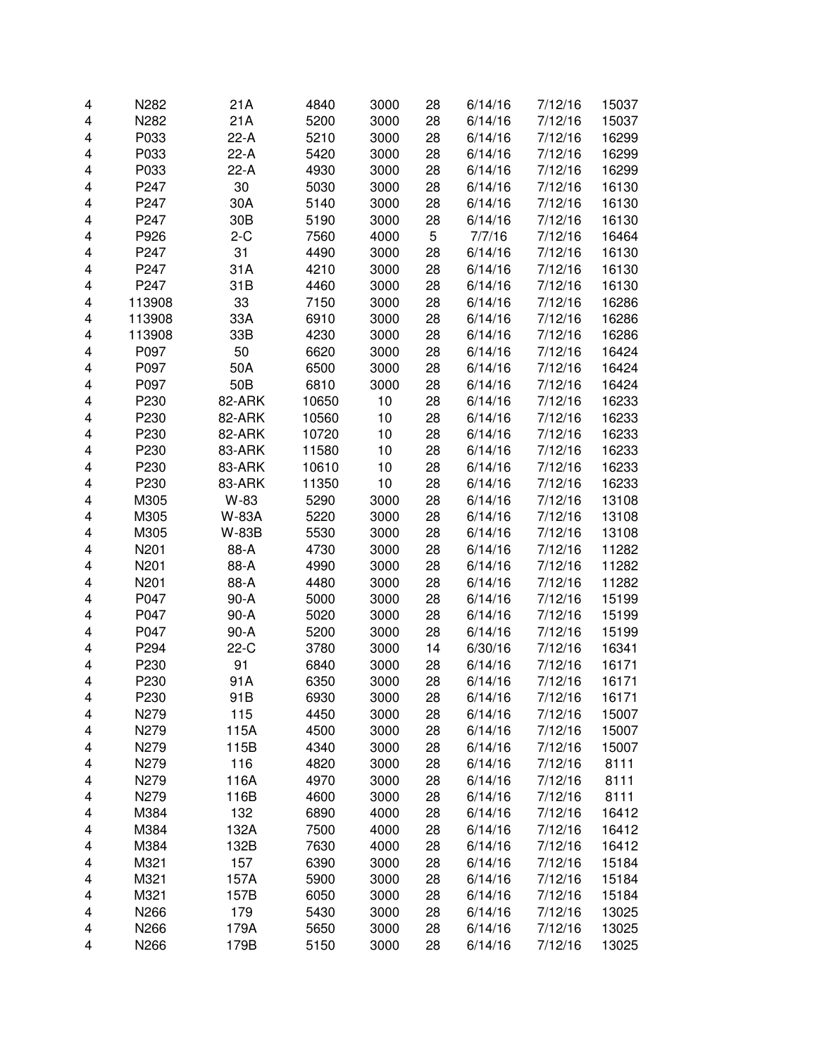| 4 | N282   | 21A             | 4840  | 3000 | 28 | 6/14/16 | 7/12/16 | 15037 |
|---|--------|-----------------|-------|------|----|---------|---------|-------|
| 4 | N282   | 21A             | 5200  | 3000 | 28 | 6/14/16 | 7/12/16 | 15037 |
| 4 | P033   | $22-A$          | 5210  | 3000 | 28 | 6/14/16 | 7/12/16 | 16299 |
| 4 | P033   | 22-A            | 5420  | 3000 | 28 | 6/14/16 | 7/12/16 | 16299 |
| 4 | P033   | 22-A            | 4930  | 3000 | 28 | 6/14/16 | 7/12/16 | 16299 |
| 4 | P247   | 30              | 5030  | 3000 | 28 | 6/14/16 | 7/12/16 | 16130 |
| 4 | P247   | 30A             | 5140  | 3000 | 28 | 6/14/16 | 7/12/16 | 16130 |
| 4 | P247   | 30 <sub>B</sub> | 5190  | 3000 | 28 | 6/14/16 | 7/12/16 | 16130 |
| 4 | P926   | $2-C$           | 7560  | 4000 | 5  | 7/7/16  | 7/12/16 | 16464 |
| 4 | P247   | 31              | 4490  | 3000 | 28 | 6/14/16 | 7/12/16 | 16130 |
| 4 | P247   | 31A             | 4210  | 3000 | 28 | 6/14/16 | 7/12/16 | 16130 |
| 4 | P247   | 31B             | 4460  | 3000 | 28 | 6/14/16 | 7/12/16 | 16130 |
| 4 | 113908 | 33              | 7150  | 3000 | 28 | 6/14/16 | 7/12/16 | 16286 |
| 4 | 113908 | 33A             | 6910  | 3000 | 28 | 6/14/16 | 7/12/16 | 16286 |
| 4 | 113908 | 33B             | 4230  | 3000 | 28 | 6/14/16 | 7/12/16 | 16286 |
| 4 | P097   | 50              | 6620  | 3000 | 28 | 6/14/16 | 7/12/16 | 16424 |
| 4 | P097   | 50A             | 6500  | 3000 | 28 | 6/14/16 | 7/12/16 | 16424 |
| 4 | P097   | 50B             | 6810  | 3000 | 28 | 6/14/16 | 7/12/16 | 16424 |
| 4 | P230   | 82-ARK          | 10650 | 10   | 28 | 6/14/16 | 7/12/16 | 16233 |
| 4 | P230   | 82-ARK          | 10560 | 10   | 28 | 6/14/16 | 7/12/16 | 16233 |
| 4 | P230   | 82-ARK          | 10720 | 10   | 28 | 6/14/16 | 7/12/16 | 16233 |
| 4 | P230   | 83-ARK          | 11580 | 10   | 28 | 6/14/16 | 7/12/16 | 16233 |
| 4 | P230   | 83-ARK          | 10610 | 10   | 28 | 6/14/16 | 7/12/16 | 16233 |
| 4 | P230   | 83-ARK          | 11350 | 10   | 28 | 6/14/16 | 7/12/16 | 16233 |
| 4 | M305   | W-83            | 5290  | 3000 | 28 | 6/14/16 | 7/12/16 | 13108 |
| 4 | M305   | W-83A           | 5220  | 3000 | 28 | 6/14/16 | 7/12/16 | 13108 |
| 4 | M305   | W-83B           | 5530  | 3000 | 28 | 6/14/16 | 7/12/16 | 13108 |
| 4 | N201   | 88-A            | 4730  | 3000 | 28 | 6/14/16 | 7/12/16 | 11282 |
| 4 | N201   | 88-A            | 4990  | 3000 | 28 | 6/14/16 | 7/12/16 | 11282 |
| 4 | N201   | 88-A            | 4480  | 3000 | 28 | 6/14/16 | 7/12/16 | 11282 |
| 4 | P047   | $90-A$          | 5000  | 3000 | 28 | 6/14/16 | 7/12/16 | 15199 |
| 4 | P047   | $90-A$          | 5020  | 3000 | 28 | 6/14/16 | 7/12/16 | 15199 |
| 4 | P047   | 90-A            | 5200  | 3000 | 28 | 6/14/16 | 7/12/16 | 15199 |
| 4 | P294   | $22-C$          | 3780  | 3000 | 14 | 6/30/16 | 7/12/16 | 16341 |
| 4 | P230   | 91              | 6840  | 3000 | 28 | 6/14/16 | 7/12/16 | 16171 |
| 4 | P230   | 91A             | 6350  | 3000 | 28 | 6/14/16 | 7/12/16 | 16171 |
| 4 | P230   | 91B             | 6930  | 3000 | 28 | 6/14/16 | 7/12/16 | 16171 |
| 4 | N279   | 115             | 4450  | 3000 | 28 | 6/14/16 | 7/12/16 | 15007 |
| 4 | N279   | 115A            | 4500  | 3000 | 28 | 6/14/16 | 7/12/16 | 15007 |
| 4 | N279   | 115B            | 4340  | 3000 | 28 | 6/14/16 | 7/12/16 | 15007 |
| 4 | N279   | 116             | 4820  | 3000 | 28 | 6/14/16 | 7/12/16 | 8111  |
| 4 | N279   | 116A            | 4970  | 3000 | 28 | 6/14/16 | 7/12/16 | 8111  |
| 4 | N279   | 116B            | 4600  | 3000 | 28 | 6/14/16 | 7/12/16 | 8111  |
| 4 | M384   | 132             | 6890  | 4000 | 28 | 6/14/16 | 7/12/16 | 16412 |
| 4 | M384   | 132A            | 7500  | 4000 | 28 | 6/14/16 | 7/12/16 | 16412 |
| 4 | M384   | 132B            | 7630  | 4000 | 28 | 6/14/16 | 7/12/16 | 16412 |
| 4 | M321   | 157             | 6390  | 3000 | 28 | 6/14/16 | 7/12/16 | 15184 |
| 4 | M321   | 157A            | 5900  | 3000 | 28 | 6/14/16 | 7/12/16 | 15184 |
| 4 | M321   | 157B            | 6050  | 3000 | 28 | 6/14/16 | 7/12/16 | 15184 |
| 4 | N266   | 179             | 5430  | 3000 | 28 | 6/14/16 | 7/12/16 | 13025 |
| 4 | N266   | 179A            | 5650  | 3000 | 28 | 6/14/16 | 7/12/16 | 13025 |
| 4 | N266   | 179B            | 5150  | 3000 | 28 | 6/14/16 | 7/12/16 | 13025 |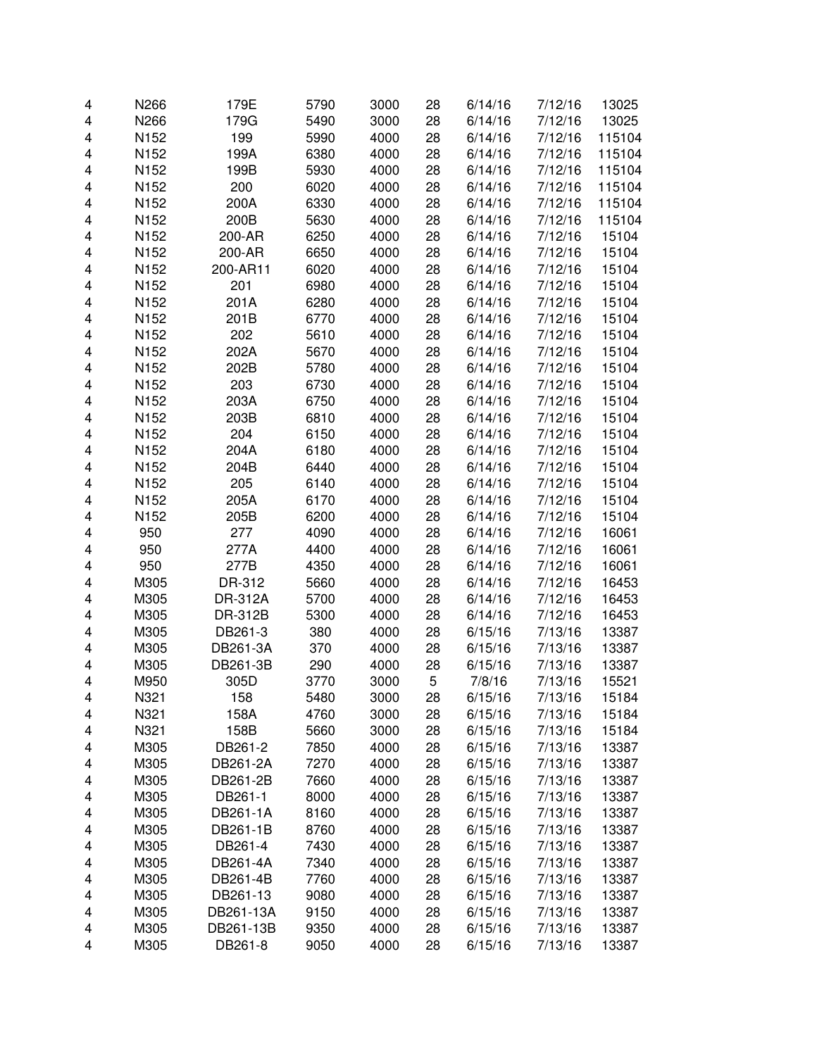| 4 | N266 | 179E                | 5790         | 3000         | 28 | 6/14/16 | 7/12/16 | 13025  |
|---|------|---------------------|--------------|--------------|----|---------|---------|--------|
| 4 | N266 | 179G                | 5490         | 3000         | 28 | 6/14/16 | 7/12/16 | 13025  |
| 4 | N152 | 199                 | 5990         | 4000         | 28 | 6/14/16 | 7/12/16 | 115104 |
| 4 | N152 | 199A                | 6380         | 4000         | 28 | 6/14/16 | 7/12/16 | 115104 |
| 4 | N152 | 199B                | 5930         | 4000         | 28 | 6/14/16 | 7/12/16 | 115104 |
| 4 | N152 | 200                 | 6020         | 4000         | 28 | 6/14/16 | 7/12/16 | 115104 |
| 4 | N152 | 200A                | 6330         | 4000         | 28 | 6/14/16 | 7/12/16 | 115104 |
| 4 | N152 | 200B                | 5630         | 4000         | 28 | 6/14/16 | 7/12/16 | 115104 |
| 4 | N152 | 200-AR              | 6250         | 4000         | 28 | 6/14/16 | 7/12/16 | 15104  |
| 4 | N152 | 200-AR              | 6650         | 4000         | 28 | 6/14/16 | 7/12/16 | 15104  |
| 4 | N152 | 200-AR11            | 6020         | 4000         | 28 | 6/14/16 | 7/12/16 | 15104  |
| 4 | N152 | 201                 | 6980         | 4000         | 28 | 6/14/16 | 7/12/16 | 15104  |
| 4 | N152 | 201A                | 6280         | 4000         | 28 | 6/14/16 | 7/12/16 | 15104  |
| 4 | N152 | 201B                | 6770         | 4000         | 28 | 6/14/16 | 7/12/16 | 15104  |
| 4 | N152 | 202                 | 5610         | 4000         | 28 | 6/14/16 | 7/12/16 | 15104  |
| 4 | N152 | 202A                | 5670         | 4000         | 28 | 6/14/16 | 7/12/16 | 15104  |
| 4 | N152 | 202B                | 5780         | 4000         | 28 | 6/14/16 | 7/12/16 | 15104  |
| 4 | N152 | 203                 | 6730         | 4000         | 28 | 6/14/16 | 7/12/16 | 15104  |
| 4 | N152 | 203A                | 6750         | 4000         | 28 | 6/14/16 | 7/12/16 | 15104  |
| 4 | N152 | 203B                | 6810         | 4000         | 28 | 6/14/16 | 7/12/16 | 15104  |
| 4 | N152 | 204                 | 6150         | 4000         | 28 | 6/14/16 | 7/12/16 | 15104  |
| 4 | N152 | 204A                | 6180         | 4000         | 28 | 6/14/16 | 7/12/16 | 15104  |
| 4 | N152 | 204B                | 6440         | 4000         | 28 | 6/14/16 | 7/12/16 | 15104  |
| 4 | N152 | 205                 | 6140         | 4000         | 28 | 6/14/16 | 7/12/16 | 15104  |
| 4 | N152 | 205A                | 6170         | 4000         | 28 | 6/14/16 | 7/12/16 | 15104  |
| 4 | N152 | 205B                | 6200         | 4000         | 28 | 6/14/16 | 7/12/16 | 15104  |
| 4 | 950  | 277                 | 4090         | 4000         | 28 | 6/14/16 | 7/12/16 | 16061  |
| 4 | 950  | 277A                | 4400         | 4000         | 28 | 6/14/16 | 7/12/16 | 16061  |
| 4 | 950  | 277B                | 4350         | 4000         | 28 | 6/14/16 | 7/12/16 | 16061  |
| 4 | M305 | DR-312              | 5660         | 4000         | 28 | 6/14/16 | 7/12/16 | 16453  |
| 4 | M305 | <b>DR-312A</b>      | 5700         | 4000         | 28 | 6/14/16 | 7/12/16 | 16453  |
| 4 | M305 | DR-312B             | 5300         | 4000         | 28 | 6/14/16 | 7/12/16 | 16453  |
| 4 | M305 | DB261-3             | 380          | 4000         | 28 | 6/15/16 | 7/13/16 | 13387  |
| 4 | M305 | DB261-3A            | 370          | 4000         | 28 | 6/15/16 | 7/13/16 | 13387  |
| 4 | M305 | DB261-3B            | 290          | 4000         | 28 | 6/15/16 | 7/13/16 | 13387  |
| 4 | M950 | 305D                | 3770         | 3000         | 5  | 7/8/16  | 7/13/16 | 15521  |
| 4 | N321 | 158                 |              | 3000         | 28 | 6/15/16 | 7/13/16 | 15184  |
| 4 | N321 | 158A                | 5480<br>4760 | 3000         | 28 | 6/15/16 | 7/13/16 | 15184  |
| 4 | N321 | 158B                | 5660         | 3000         | 28 | 6/15/16 | 7/13/16 | 15184  |
| 4 | M305 | DB261-2             | 7850         | 4000         | 28 | 6/15/16 | 7/13/16 | 13387  |
| 4 | M305 | DB261-2A            | 7270         | 4000         | 28 | 6/15/16 | 7/13/16 | 13387  |
|   | M305 | DB261-2B            | 7660         | 4000         | 28 | 6/15/16 | 7/13/16 | 13387  |
| 4 | M305 |                     | 8000         |              |    | 6/15/16 |         |        |
| 4 |      | DB261-1<br>DB261-1A |              | 4000<br>4000 | 28 |         | 7/13/16 | 13387  |
| 4 | M305 |                     | 8160         |              | 28 | 6/15/16 | 7/13/16 | 13387  |
| 4 | M305 | DB261-1B<br>DB261-4 | 8760         | 4000         | 28 | 6/15/16 | 7/13/16 | 13387  |
| 4 | M305 |                     | 7430         | 4000         | 28 | 6/15/16 | 7/13/16 | 13387  |
| 4 | M305 | DB261-4A            | 7340         | 4000         | 28 | 6/15/16 | 7/13/16 | 13387  |
| 4 | M305 | DB261-4B            | 7760         | 4000         | 28 | 6/15/16 | 7/13/16 | 13387  |
| 4 | M305 | DB261-13            | 9080         | 4000         | 28 | 6/15/16 | 7/13/16 | 13387  |
| 4 | M305 | DB261-13A           | 9150         | 4000         | 28 | 6/15/16 | 7/13/16 | 13387  |
| 4 | M305 | DB261-13B           | 9350         | 4000         | 28 | 6/15/16 | 7/13/16 | 13387  |
| 4 | M305 | DB261-8             | 9050         | 4000         | 28 | 6/15/16 | 7/13/16 | 13387  |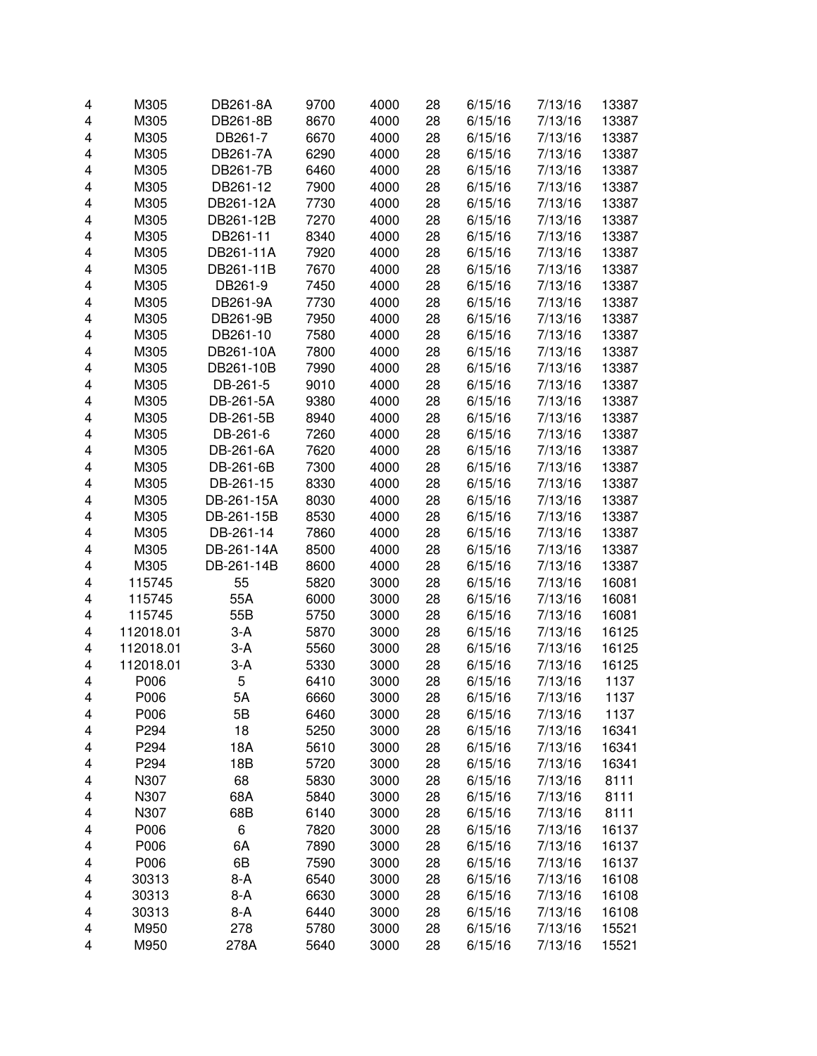| 4 | M305      | DB261-8A   | 9700 | 4000 | 28 | 6/15/16 | 7/13/16 | 13387 |
|---|-----------|------------|------|------|----|---------|---------|-------|
| 4 | M305      | DB261-8B   | 8670 | 4000 | 28 | 6/15/16 | 7/13/16 | 13387 |
| 4 | M305      | DB261-7    | 6670 | 4000 | 28 | 6/15/16 | 7/13/16 | 13387 |
| 4 | M305      | DB261-7A   | 6290 | 4000 | 28 | 6/15/16 | 7/13/16 | 13387 |
| 4 | M305      | DB261-7B   | 6460 | 4000 | 28 | 6/15/16 | 7/13/16 | 13387 |
| 4 | M305      | DB261-12   | 7900 | 4000 | 28 | 6/15/16 | 7/13/16 | 13387 |
| 4 | M305      | DB261-12A  | 7730 | 4000 | 28 | 6/15/16 | 7/13/16 | 13387 |
| 4 | M305      | DB261-12B  | 7270 | 4000 | 28 | 6/15/16 | 7/13/16 | 13387 |
|   | M305      |            |      | 4000 | 28 |         |         |       |
| 4 |           | DB261-11   | 8340 |      |    | 6/15/16 | 7/13/16 | 13387 |
| 4 | M305      | DB261-11A  | 7920 | 4000 | 28 | 6/15/16 | 7/13/16 | 13387 |
| 4 | M305      | DB261-11B  | 7670 | 4000 | 28 | 6/15/16 | 7/13/16 | 13387 |
| 4 | M305      | DB261-9    | 7450 | 4000 | 28 | 6/15/16 | 7/13/16 | 13387 |
| 4 | M305      | DB261-9A   | 7730 | 4000 | 28 | 6/15/16 | 7/13/16 | 13387 |
| 4 | M305      | DB261-9B   | 7950 | 4000 | 28 | 6/15/16 | 7/13/16 | 13387 |
| 4 | M305      | DB261-10   | 7580 | 4000 | 28 | 6/15/16 | 7/13/16 | 13387 |
| 4 | M305      | DB261-10A  | 7800 | 4000 | 28 | 6/15/16 | 7/13/16 | 13387 |
| 4 | M305      | DB261-10B  | 7990 | 4000 | 28 | 6/15/16 | 7/13/16 | 13387 |
| 4 | M305      | DB-261-5   | 9010 | 4000 | 28 | 6/15/16 | 7/13/16 | 13387 |
| 4 | M305      | DB-261-5A  | 9380 | 4000 | 28 | 6/15/16 | 7/13/16 | 13387 |
| 4 | M305      | DB-261-5B  | 8940 | 4000 | 28 | 6/15/16 | 7/13/16 | 13387 |
| 4 | M305      | DB-261-6   | 7260 | 4000 | 28 | 6/15/16 | 7/13/16 | 13387 |
| 4 | M305      | DB-261-6A  | 7620 | 4000 | 28 | 6/15/16 | 7/13/16 | 13387 |
| 4 | M305      | DB-261-6B  | 7300 | 4000 | 28 | 6/15/16 | 7/13/16 | 13387 |
| 4 | M305      | DB-261-15  | 8330 | 4000 | 28 | 6/15/16 | 7/13/16 | 13387 |
| 4 | M305      | DB-261-15A | 8030 | 4000 | 28 | 6/15/16 | 7/13/16 | 13387 |
| 4 | M305      | DB-261-15B | 8530 | 4000 | 28 | 6/15/16 | 7/13/16 | 13387 |
| 4 | M305      | DB-261-14  | 7860 | 4000 | 28 | 6/15/16 | 7/13/16 | 13387 |
| 4 | M305      | DB-261-14A | 8500 | 4000 | 28 | 6/15/16 | 7/13/16 | 13387 |
|   |           |            |      |      |    |         |         |       |
| 4 | M305      | DB-261-14B | 8600 | 4000 | 28 | 6/15/16 | 7/13/16 | 13387 |
| 4 | 115745    | 55         | 5820 | 3000 | 28 | 6/15/16 | 7/13/16 | 16081 |
| 4 | 115745    | 55A        | 6000 | 3000 | 28 | 6/15/16 | 7/13/16 | 16081 |
| 4 | 115745    | 55B        | 5750 | 3000 | 28 | 6/15/16 | 7/13/16 | 16081 |
| 4 | 112018.01 | $3-A$      | 5870 | 3000 | 28 | 6/15/16 | 7/13/16 | 16125 |
| 4 | 112018.01 | $3-A$      | 5560 | 3000 | 28 | 6/15/16 | 7/13/16 | 16125 |
| 4 | 112018.01 | $3-A$      | 5330 | 3000 | 28 | 6/15/16 | 7/13/16 | 16125 |
| 4 | P006      | 5          | 6410 | 3000 | 28 | 6/15/16 | 7/13/16 | 1137  |
| 4 | P006      | 5A         | 6660 | 3000 | 28 | 6/15/16 | 7/13/16 | 1137  |
| 4 | P006      | 5B         | 6460 | 3000 | 28 | 6/15/16 | 7/13/16 | 1137  |
| 4 | P294      | 18         | 5250 | 3000 | 28 | 6/15/16 | 7/13/16 | 16341 |
| 4 | P294      | 18A        | 5610 | 3000 | 28 | 6/15/16 | 7/13/16 | 16341 |
| 4 | P294      | 18B        | 5720 | 3000 | 28 | 6/15/16 | 7/13/16 | 16341 |
| 4 | N307      | 68         | 5830 | 3000 | 28 | 6/15/16 | 7/13/16 | 8111  |
| 4 | N307      | 68A        | 5840 | 3000 | 28 | 6/15/16 | 7/13/16 | 8111  |
| 4 | N307      | 68B        | 6140 | 3000 | 28 | 6/15/16 | 7/13/16 | 8111  |
| 4 | P006      | 6          | 7820 | 3000 | 28 | 6/15/16 | 7/13/16 | 16137 |
| 4 | P006      | 6A         | 7890 | 3000 | 28 | 6/15/16 | 7/13/16 | 16137 |
| 4 | P006      | 6B         | 7590 | 3000 | 28 | 6/15/16 | 7/13/16 | 16137 |
| 4 | 30313     | $8-A$      | 6540 | 3000 | 28 | 6/15/16 | 7/13/16 | 16108 |
| 4 | 30313     | $8-A$      | 6630 | 3000 | 28 | 6/15/16 | 7/13/16 | 16108 |
| 4 | 30313     | $8-A$      | 6440 | 3000 | 28 | 6/15/16 | 7/13/16 | 16108 |
|   |           |            |      |      |    |         |         |       |
| 4 | M950      | 278        | 5780 | 3000 | 28 | 6/15/16 | 7/13/16 | 15521 |
| 4 | M950      | 278A       | 5640 | 3000 | 28 | 6/15/16 | 7/13/16 | 15521 |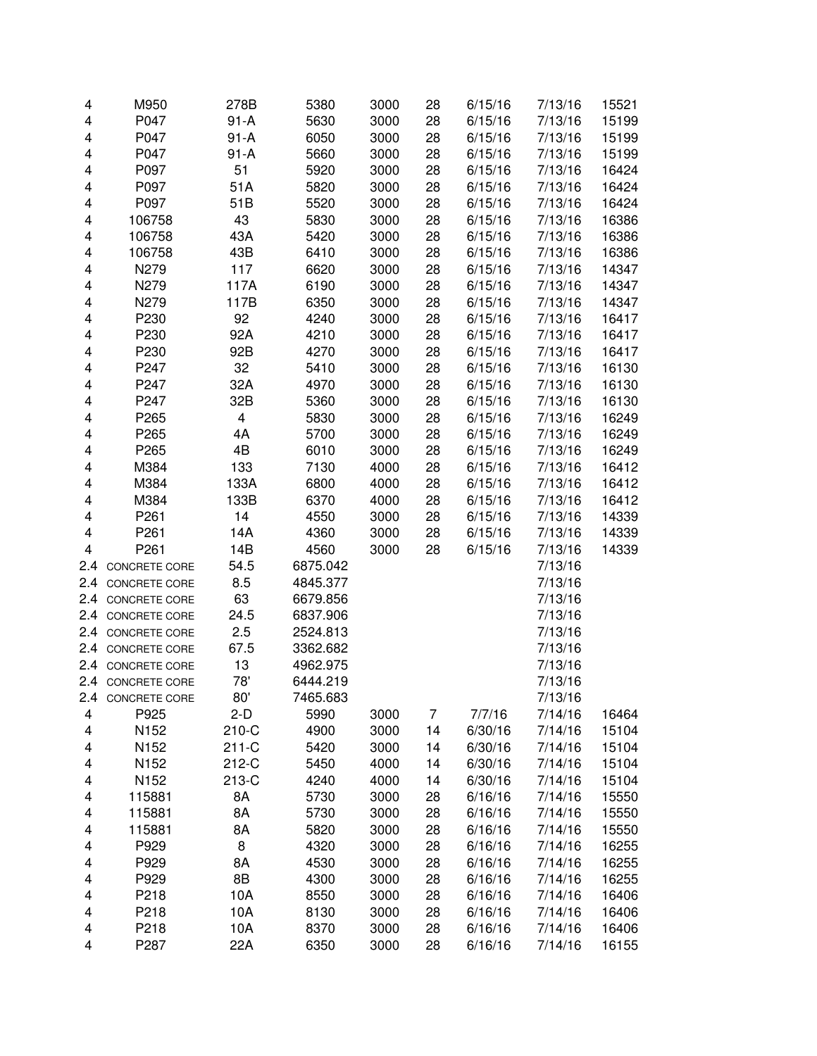| 4   | M950                 | 278B     | 5380     | 3000 | 28 | 6/15/16 | 7/13/16 | 15521 |
|-----|----------------------|----------|----------|------|----|---------|---------|-------|
| 4   | P047                 | $91 - A$ | 5630     | 3000 | 28 | 6/15/16 | 7/13/16 | 15199 |
| 4   | P047                 | $91-A$   | 6050     | 3000 | 28 | 6/15/16 | 7/13/16 | 15199 |
| 4   | P047                 | $91 - A$ | 5660     | 3000 | 28 | 6/15/16 | 7/13/16 | 15199 |
| 4   | P097                 | 51       | 5920     | 3000 | 28 | 6/15/16 | 7/13/16 | 16424 |
| 4   | P097                 | 51A      | 5820     | 3000 | 28 | 6/15/16 | 7/13/16 | 16424 |
| 4   | P097                 | 51B      | 5520     | 3000 | 28 | 6/15/16 | 7/13/16 | 16424 |
| 4   | 106758               | 43       | 5830     | 3000 | 28 | 6/15/16 | 7/13/16 | 16386 |
| 4   | 106758               | 43A      | 5420     | 3000 | 28 | 6/15/16 | 7/13/16 | 16386 |
| 4   | 106758               | 43B      | 6410     | 3000 | 28 | 6/15/16 | 7/13/16 | 16386 |
| 4   | N279                 | 117      | 6620     | 3000 | 28 | 6/15/16 | 7/13/16 | 14347 |
| 4   | N279                 | 117A     | 6190     | 3000 | 28 | 6/15/16 | 7/13/16 | 14347 |
| 4   | N279                 | 117B     | 6350     | 3000 | 28 | 6/15/16 | 7/13/16 | 14347 |
| 4   | P230                 | 92       | 4240     | 3000 | 28 | 6/15/16 | 7/13/16 | 16417 |
| 4   | P230                 | 92A      | 4210     | 3000 | 28 | 6/15/16 | 7/13/16 | 16417 |
| 4   | P230                 | 92B      | 4270     | 3000 | 28 | 6/15/16 | 7/13/16 | 16417 |
| 4   | P247                 | 32       | 5410     | 3000 | 28 | 6/15/16 | 7/13/16 | 16130 |
| 4   | P247                 | 32A      | 4970     | 3000 | 28 | 6/15/16 | 7/13/16 | 16130 |
| 4   | P247                 | 32B      | 5360     | 3000 | 28 | 6/15/16 | 7/13/16 | 16130 |
| 4   | P265                 | 4        | 5830     | 3000 | 28 | 6/15/16 | 7/13/16 | 16249 |
| 4   | P <sub>265</sub>     | 4A       | 5700     | 3000 | 28 | 6/15/16 | 7/13/16 | 16249 |
| 4   | P265                 | 4B       | 6010     | 3000 | 28 | 6/15/16 | 7/13/16 | 16249 |
| 4   | M384                 | 133      | 7130     | 4000 | 28 | 6/15/16 | 7/13/16 | 16412 |
| 4   | M384                 | 133A     | 6800     | 4000 | 28 | 6/15/16 | 7/13/16 | 16412 |
| 4   | M384                 | 133B     | 6370     | 4000 | 28 | 6/15/16 | 7/13/16 | 16412 |
| 4   | P <sub>261</sub>     | 14       | 4550     | 3000 | 28 | 6/15/16 | 7/13/16 | 14339 |
| 4   | P261                 | 14A      | 4360     | 3000 | 28 | 6/15/16 | 7/13/16 | 14339 |
| 4   | P <sub>261</sub>     | 14B      | 4560     | 3000 | 28 | 6/15/16 | 7/13/16 | 14339 |
| 2.4 | CONCRETE CORE        | 54.5     | 6875.042 |      |    |         | 7/13/16 |       |
| 2.4 | CONCRETE CORE        | 8.5      | 4845.377 |      |    |         | 7/13/16 |       |
| 2.4 | CONCRETE CORE        | 63       | 6679.856 |      |    |         | 7/13/16 |       |
| 2.4 | CONCRETE CORE        | 24.5     | 6837.906 |      |    |         | 7/13/16 |       |
| 2.4 | CONCRETE CORE        | 2.5      | 2524.813 |      |    |         | 7/13/16 |       |
| 2.4 | CONCRETE CORE        | 67.5     | 3362.682 |      |    |         | 7/13/16 |       |
| 2.4 | CONCRETE CORE        | 13       | 4962.975 |      |    |         | 7/13/16 |       |
|     | 2.4 CONCRETE CORE    | 78'      | 6444.219 |      |    |         | 7/13/16 |       |
| 2.4 | <b>CONCRETE CORE</b> | 80'      | 7465.683 |      |    |         | 7/13/16 |       |
| 4   | P925                 | $2-D$    | 5990     | 3000 | 7  | 7/7/16  | 7/14/16 | 16464 |
| 4   | N152                 | 210-C    | 4900     | 3000 | 14 | 6/30/16 | 7/14/16 | 15104 |
| 4   | N152                 | $211-C$  | 5420     | 3000 | 14 | 6/30/16 | 7/14/16 | 15104 |
| 4   | N <sub>152</sub>     | 212-C    | 5450     | 4000 | 14 | 6/30/16 | 7/14/16 | 15104 |
| 4   | N152                 | 213-C    | 4240     | 4000 | 14 | 6/30/16 | 7/14/16 | 15104 |
| 4   | 115881               | 8A       | 5730     | 3000 | 28 | 6/16/16 | 7/14/16 | 15550 |
| 4   | 115881               | 8A       | 5730     | 3000 | 28 | 6/16/16 | 7/14/16 | 15550 |
| 4   | 115881               | 8A       | 5820     | 3000 | 28 | 6/16/16 | 7/14/16 | 15550 |
| 4   | P929                 | 8        | 4320     | 3000 | 28 | 6/16/16 | 7/14/16 | 16255 |
| 4   | P929                 | 8A       | 4530     | 3000 | 28 | 6/16/16 | 7/14/16 | 16255 |
| 4   | P929                 | 8B       | 4300     | 3000 | 28 | 6/16/16 | 7/14/16 | 16255 |
| 4   | P218                 | 10A      | 8550     | 3000 | 28 | 6/16/16 | 7/14/16 | 16406 |
| 4   | P218                 | 10A      | 8130     | 3000 | 28 | 6/16/16 | 7/14/16 | 16406 |
| 4   | P218                 | 10A      | 8370     | 3000 | 28 | 6/16/16 | 7/14/16 | 16406 |
| 4   | P287                 | 22A      | 6350     | 3000 | 28 | 6/16/16 | 7/14/16 | 16155 |
|     |                      |          |          |      |    |         |         |       |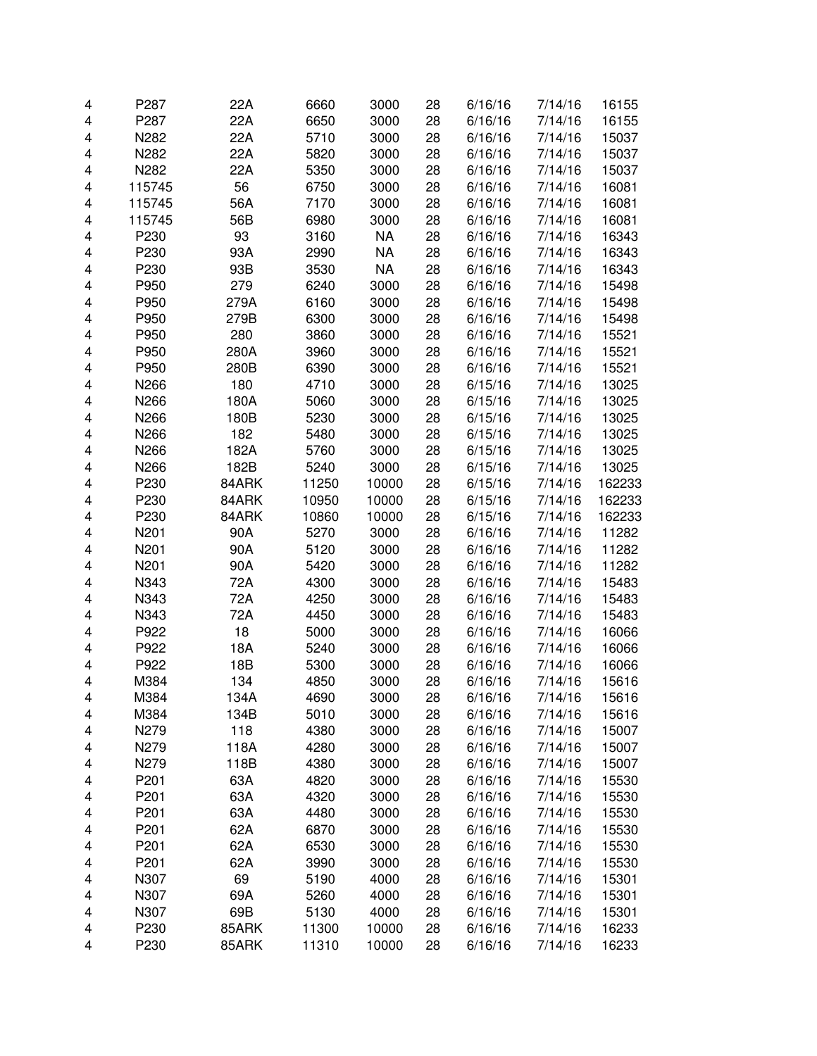| 4      | P287             | 22A          | 6660  | 3000         | 28       | 6/16/16            | 7/14/16            | 16155          |
|--------|------------------|--------------|-------|--------------|----------|--------------------|--------------------|----------------|
| 4      | P287             | 22A          | 6650  | 3000         | 28       | 6/16/16            | 7/14/16            | 16155          |
| 4      | N282             | 22A          | 5710  | 3000         | 28       | 6/16/16            | 7/14/16            | 15037          |
| 4      | N282             | 22A          | 5820  | 3000         | 28       | 6/16/16            | 7/14/16            | 15037          |
| 4      | N282             | 22A          | 5350  | 3000         | 28       | 6/16/16            | 7/14/16            | 15037          |
| 4      | 115745           | 56           | 6750  | 3000         | 28       | 6/16/16            | 7/14/16            | 16081          |
| 4      | 115745           | 56A          | 7170  | 3000         | 28       | 6/16/16            | 7/14/16            | 16081          |
| 4      | 115745           | 56B          | 6980  | 3000         | 28       | 6/16/16            | 7/14/16            | 16081          |
| 4      | P230             | 93           | 3160  | <b>NA</b>    | 28       | 6/16/16            | 7/14/16            | 16343          |
| 4      | P230             | 93A          | 2990  | <b>NA</b>    | 28       | 6/16/16            | 7/14/16            | 16343          |
| 4      | P230             | 93B          | 3530  | <b>NA</b>    | 28       | 6/16/16            | 7/14/16            | 16343          |
| 4      | P950             | 279          | 6240  | 3000         | 28       | 6/16/16            | 7/14/16            | 15498          |
| 4      | P950             | 279A         | 6160  | 3000         | 28       | 6/16/16            | 7/14/16            | 15498          |
| 4      | P950             | 279B         | 6300  | 3000         | 28       | 6/16/16            | 7/14/16            | 15498          |
| 4      | P950             | 280          | 3860  | 3000         | 28       | 6/16/16            | 7/14/16            | 15521          |
| 4      | P950             | 280A         | 3960  | 3000         | 28       | 6/16/16            | 7/14/16            | 15521          |
| 4      | P950             | 280B         | 6390  | 3000         | 28       | 6/16/16            | 7/14/16            | 15521          |
| 4      | N266             | 180          | 4710  | 3000         | 28       | 6/15/16            | 7/14/16            | 13025          |
| 4      | N266             | 180A         | 5060  | 3000         | 28       | 6/15/16            | 7/14/16            | 13025          |
| 4      | N266             | 180B         | 5230  | 3000         | 28       | 6/15/16            | 7/14/16            | 13025          |
| 4      | N266             | 182          | 5480  | 3000         | 28       | 6/15/16            | 7/14/16            | 13025          |
| 4      | N266             | 182A         | 5760  | 3000         | 28       | 6/15/16            | 7/14/16            | 13025          |
| 4      | N266             | 182B         | 5240  | 3000         | 28       | 6/15/16            | 7/14/16            | 13025          |
| 4      | P230             | 84ARK        | 11250 | 10000        | 28       | 6/15/16            | 7/14/16            | 162233         |
| 4      | P230             | 84ARK        | 10950 | 10000        | 28       | 6/15/16            | 7/14/16            | 162233         |
| 4      | P230             | 84ARK        | 10860 | 10000        | 28       | 6/15/16            | 7/14/16            | 162233         |
| 4      | N201             | 90A          | 5270  | 3000         | 28       | 6/16/16            | 7/14/16            | 11282          |
| 4      | N201             | 90A          | 5120  | 3000         | 28       | 6/16/16            | 7/14/16            | 11282          |
| 4      | N201             | 90A          | 5420  | 3000         | 28       | 6/16/16            | 7/14/16            | 11282          |
| 4      | N343             | 72A          | 4300  | 3000         | 28       | 6/16/16            | 7/14/16            | 15483          |
| 4      | N343             | 72A          | 4250  | 3000         | 28       | 6/16/16            | 7/14/16            | 15483          |
| 4      | N343             | 72A          | 4450  | 3000         | 28       | 6/16/16            | 7/14/16            | 15483          |
| 4      | P922             | 18           | 5000  | 3000         | 28       | 6/16/16            | 7/14/16            | 16066          |
| 4      | P922             | 18A          | 5240  | 3000         | 28       | 6/16/16            | 7/14/16            | 16066          |
| 4      | P922             | 18B          | 5300  | 3000         | 28       | 6/16/16            | 7/14/16            | 16066          |
| 4      | M384             | 134          | 4850  | 3000         | 28       | 6/16/16            | 7/14/16            | 15616          |
| 4      |                  | 134A         | 4690  |              | 28       |                    |                    |                |
| 4      | M384<br>M384     | 134B         | 5010  | 3000<br>3000 | 28       | 6/16/16<br>6/16/16 | 7/14/16<br>7/14/16 | 15616<br>15616 |
| 4      | N279             | 118          | 4380  | 3000         | 28       | 6/16/16            | 7/14/16            | 15007          |
| 4      | N279             | 118A         | 4280  | 3000         | 28       | 6/16/16            | 7/14/16            | 15007          |
| 4      | N279             | 118B         | 4380  | 3000         | 28       | 6/16/16            | 7/14/16            | 15007          |
| 4      | P <sub>201</sub> | 63A          | 4820  | 3000         | 28       | 6/16/16            | 7/14/16            | 15530          |
| 4      | P201             | 63A          | 4320  | 3000         | 28       | 6/16/16            | 7/14/16            | 15530          |
| 4      | P201             | 63A          | 4480  | 3000         | 28       | 6/16/16            | 7/14/16            | 15530          |
| 4      | P201             | 62A          | 6870  | 3000         | 28       | 6/16/16            | 7/14/16            | 15530          |
|        | P201             | 62A          | 6530  | 3000         | 28       | 6/16/16            | 7/14/16            | 15530          |
| 4      | P201             |              |       |              |          |                    |                    |                |
| 4      | N307             | 62A<br>69    | 3990  | 3000<br>4000 | 28<br>28 | 6/16/16            | 7/14/16            | 15530<br>15301 |
| 4      |                  |              | 5190  |              |          | 6/16/16            | 7/14/16            |                |
| 4      | N307             | 69A          | 5260  | 4000         | 28       | 6/16/16            | 7/14/16            | 15301          |
| 4<br>4 | N307<br>P230     | 69B<br>85ARK | 5130  | 4000         | 28       | 6/16/16            | 7/14/16            | 15301<br>16233 |
|        |                  |              | 11300 | 10000        | 28       | 6/16/16            | 7/14/16            |                |
| 4      | P230             | 85ARK        | 11310 | 10000        | 28       | 6/16/16            | 7/14/16            | 16233          |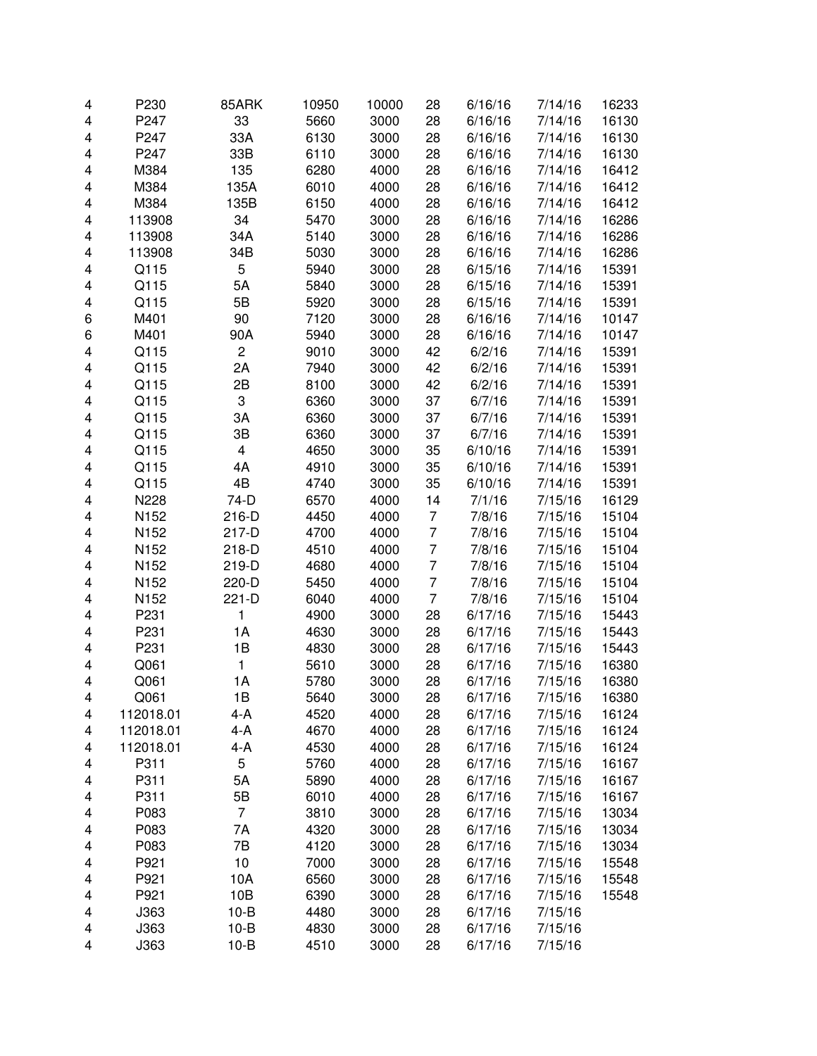| 4 | P230      | 85ARK          | 10950 | 10000 | 28             | 6/16/16 | 7/14/16 | 16233 |
|---|-----------|----------------|-------|-------|----------------|---------|---------|-------|
| 4 | P247      | 33             | 5660  | 3000  | 28             | 6/16/16 | 7/14/16 | 16130 |
| 4 | P247      | 33A            | 6130  | 3000  | 28             | 6/16/16 | 7/14/16 | 16130 |
| 4 | P247      | 33B            | 6110  | 3000  | 28             | 6/16/16 | 7/14/16 | 16130 |
| 4 | M384      | 135            | 6280  | 4000  | 28             | 6/16/16 | 7/14/16 | 16412 |
| 4 | M384      | 135A           | 6010  | 4000  | 28             | 6/16/16 | 7/14/16 | 16412 |
| 4 | M384      | 135B           | 6150  | 4000  | 28             | 6/16/16 | 7/14/16 | 16412 |
| 4 | 113908    | 34             | 5470  | 3000  | 28             | 6/16/16 | 7/14/16 | 16286 |
| 4 | 113908    | 34A            | 5140  | 3000  | 28             | 6/16/16 | 7/14/16 | 16286 |
| 4 | 113908    | 34B            | 5030  | 3000  | 28             | 6/16/16 | 7/14/16 | 16286 |
| 4 | Q115      | 5              | 5940  | 3000  | 28             | 6/15/16 | 7/14/16 | 15391 |
| 4 | Q115      | 5A             | 5840  | 3000  | 28             | 6/15/16 | 7/14/16 | 15391 |
| 4 | Q115      | 5B             | 5920  | 3000  | 28             | 6/15/16 | 7/14/16 | 15391 |
| 6 | M401      | 90             | 7120  | 3000  | 28             | 6/16/16 | 7/14/16 | 10147 |
| 6 | M401      | 90A            | 5940  | 3000  | 28             | 6/16/16 | 7/14/16 | 10147 |
| 4 | Q115      | $\overline{c}$ | 9010  | 3000  | 42             | 6/2/16  | 7/14/16 | 15391 |
| 4 | Q115      | 2A             | 7940  | 3000  | 42             | 6/2/16  | 7/14/16 | 15391 |
| 4 | Q115      | 2B             | 8100  | 3000  | 42             | 6/2/16  | 7/14/16 | 15391 |
| 4 | Q115      | 3              | 6360  | 3000  | 37             | 6/7/16  | 7/14/16 | 15391 |
| 4 | Q115      | ЗA             | 6360  | 3000  | 37             | 6/7/16  | 7/14/16 | 15391 |
| 4 | Q115      | 3B             | 6360  | 3000  | 37             | 6/7/16  | 7/14/16 | 15391 |
| 4 | Q115      | 4              | 4650  | 3000  | 35             | 6/10/16 | 7/14/16 | 15391 |
| 4 | Q115      | 4A             | 4910  | 3000  | 35             | 6/10/16 | 7/14/16 | 15391 |
| 4 | Q115      | 4B             | 4740  | 3000  | 35             | 6/10/16 | 7/14/16 | 15391 |
| 4 | N228      | 74-D           | 6570  | 4000  | 14             | 7/1/16  | 7/15/16 | 16129 |
| 4 | N152      | 216-D          | 4450  | 4000  | 7              | 7/8/16  | 7/15/16 | 15104 |
| 4 | N152      | 217-D          | 4700  | 4000  | 7              | 7/8/16  | 7/15/16 | 15104 |
| 4 | N152      | 218-D          | 4510  | 4000  | 7              | 7/8/16  | 7/15/16 | 15104 |
| 4 | N152      | 219-D          | 4680  | 4000  | $\overline{7}$ | 7/8/16  | 7/15/16 | 15104 |
| 4 | N152      | 220-D          | 5450  | 4000  | 7              | 7/8/16  | 7/15/16 | 15104 |
| 4 | N152      | 221-D          | 6040  | 4000  | 7              | 7/8/16  | 7/15/16 | 15104 |
| 4 | P231      | 1              | 4900  | 3000  | 28             | 6/17/16 | 7/15/16 | 15443 |
| 4 | P231      | 1A             | 4630  | 3000  | 28             | 6/17/16 | 7/15/16 | 15443 |
| 4 | P231      | 1B             | 4830  | 3000  | 28             | 6/17/16 | 7/15/16 | 15443 |
| 4 | Q061      | 1              | 5610  | 3000  | 28             | 6/17/16 | 7/15/16 | 16380 |
| 4 | Q061      | 1A             | 5780  | 3000  | 28             | 6/17/16 | 7/15/16 | 16380 |
| 4 | Q061      | 1Β             | 5640  | 3000  | 28             | 6/17/16 | 7/15/16 | 16380 |
| 4 | 112018.01 | 4-A            | 4520  | 4000  | 28             | 6/17/16 | 7/15/16 | 16124 |
| 4 | 112018.01 | 4-A            | 4670  | 4000  | 28             | 6/17/16 | 7/15/16 | 16124 |
| 4 | 112018.01 | 4-A            | 4530  | 4000  | 28             | 6/17/16 | 7/15/16 | 16124 |
| 4 | P311      | 5              | 5760  | 4000  | 28             | 6/17/16 | 7/15/16 | 16167 |
| 4 | P311      | 5A             | 5890  | 4000  | 28             | 6/17/16 | 7/15/16 | 16167 |
| 4 | P311      | 5B             | 6010  | 4000  | 28             | 6/17/16 | 7/15/16 | 16167 |
| 4 | P083      | $\overline{7}$ | 3810  | 3000  | 28             | 6/17/16 | 7/15/16 | 13034 |
| 4 | P083      | 7A             | 4320  | 3000  | 28             | 6/17/16 | 7/15/16 | 13034 |
| 4 | P083      | 7B             | 4120  | 3000  | 28             | 6/17/16 | 7/15/16 | 13034 |
| 4 | P921      | 10             | 7000  | 3000  | 28             | 6/17/16 | 7/15/16 | 15548 |
| 4 | P921      | 10A            | 6560  | 3000  | 28             | 6/17/16 | 7/15/16 | 15548 |
| 4 | P921      | 10B            | 6390  | 3000  | 28             | 6/17/16 | 7/15/16 | 15548 |
| 4 | J363      | $10 - B$       | 4480  | 3000  | 28             | 6/17/16 | 7/15/16 |       |
| 4 | J363      | $10 - B$       | 4830  | 3000  | 28             | 6/17/16 | 7/15/16 |       |
| 4 | J363      | $10-B$         | 4510  | 3000  | 28             | 6/17/16 | 7/15/16 |       |
|   |           |                |       |       |                |         |         |       |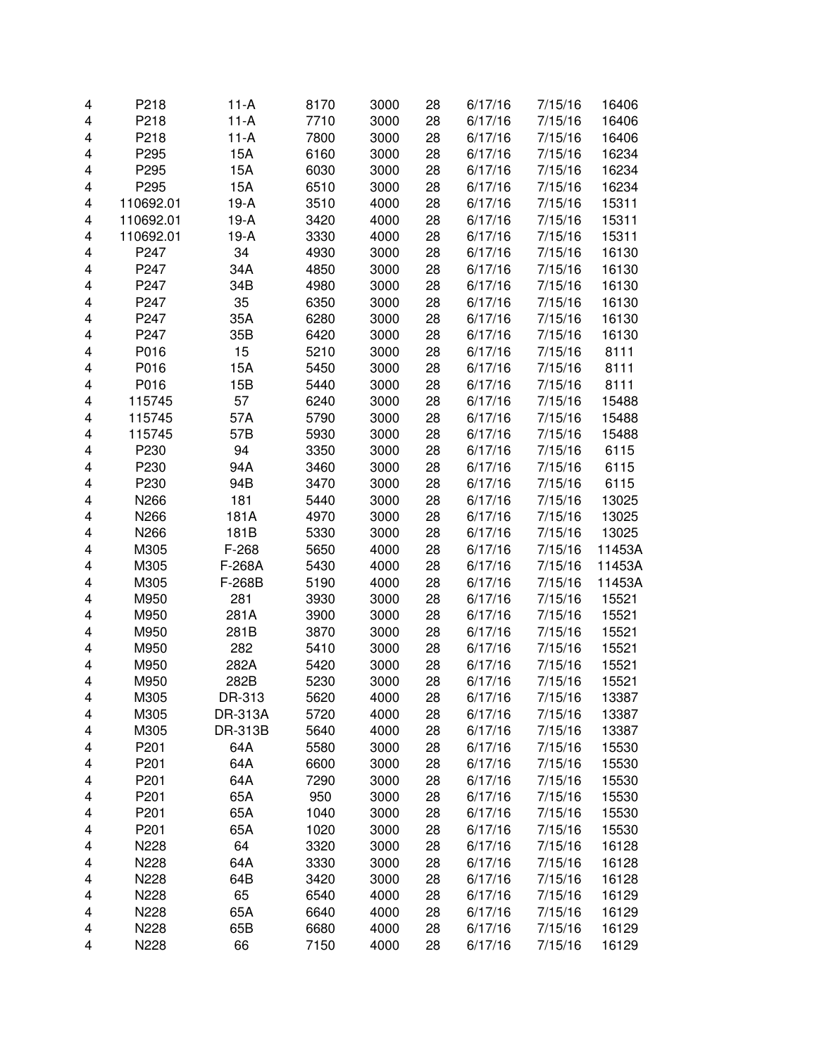| 4 | P218             | $11-A$  | 8170 | 3000 | 28 | 6/17/16 | 7/15/16 | 16406  |
|---|------------------|---------|------|------|----|---------|---------|--------|
| 4 | P218             | $11-A$  | 7710 | 3000 | 28 | 6/17/16 | 7/15/16 | 16406  |
| 4 | P218             | $11-A$  | 7800 | 3000 | 28 | 6/17/16 | 7/15/16 | 16406  |
| 4 | P295             | 15A     | 6160 | 3000 | 28 | 6/17/16 | 7/15/16 | 16234  |
| 4 | P295             | 15A     | 6030 | 3000 | 28 | 6/17/16 | 7/15/16 | 16234  |
| 4 | P295             | 15A     | 6510 | 3000 | 28 | 6/17/16 | 7/15/16 | 16234  |
| 4 | 110692.01        | $19-A$  | 3510 | 4000 | 28 | 6/17/16 | 7/15/16 | 15311  |
| 4 | 110692.01        | $19-A$  | 3420 | 4000 | 28 | 6/17/16 | 7/15/16 | 15311  |
| 4 | 110692.01        | $19-A$  | 3330 | 4000 | 28 | 6/17/16 | 7/15/16 | 15311  |
| 4 | P247             | 34      | 4930 | 3000 | 28 | 6/17/16 | 7/15/16 | 16130  |
| 4 | P247             | 34A     | 4850 | 3000 | 28 | 6/17/16 | 7/15/16 | 16130  |
| 4 | P247             | 34B     | 4980 | 3000 | 28 | 6/17/16 | 7/15/16 | 16130  |
| 4 | P247             | 35      | 6350 | 3000 | 28 | 6/17/16 | 7/15/16 | 16130  |
| 4 | P247             | 35A     | 6280 | 3000 | 28 | 6/17/16 | 7/15/16 | 16130  |
| 4 | P247             | 35B     | 6420 | 3000 | 28 | 6/17/16 | 7/15/16 | 16130  |
| 4 | P016             | 15      | 5210 | 3000 | 28 | 6/17/16 | 7/15/16 | 8111   |
| 4 | P016             | 15A     | 5450 | 3000 | 28 | 6/17/16 | 7/15/16 | 8111   |
| 4 | P016             | 15B     | 5440 | 3000 | 28 | 6/17/16 | 7/15/16 | 8111   |
| 4 | 115745           | 57      | 6240 | 3000 | 28 | 6/17/16 | 7/15/16 | 15488  |
| 4 | 115745           | 57A     | 5790 | 3000 | 28 | 6/17/16 | 7/15/16 | 15488  |
| 4 | 115745           | 57B     | 5930 | 3000 | 28 | 6/17/16 | 7/15/16 | 15488  |
| 4 | P230             | 94      | 3350 | 3000 | 28 | 6/17/16 | 7/15/16 | 6115   |
| 4 | P230             | 94A     | 3460 | 3000 | 28 | 6/17/16 | 7/15/16 | 6115   |
| 4 | P230             | 94B     | 3470 | 3000 | 28 | 6/17/16 | 7/15/16 | 6115   |
| 4 | N266             | 181     | 5440 | 3000 | 28 | 6/17/16 | 7/15/16 | 13025  |
| 4 | N266             | 181A    | 4970 | 3000 | 28 | 6/17/16 | 7/15/16 | 13025  |
| 4 | N266             | 181B    | 5330 | 3000 | 28 | 6/17/16 | 7/15/16 | 13025  |
| 4 | M305             | $F-268$ | 5650 | 4000 | 28 | 6/17/16 | 7/15/16 | 11453A |
| 4 | M305             | F-268A  | 5430 | 4000 | 28 | 6/17/16 | 7/15/16 | 11453A |
| 4 | M305             | F-268B  | 5190 | 4000 | 28 | 6/17/16 | 7/15/16 | 11453A |
| 4 | M950             | 281     | 3930 | 3000 | 28 | 6/17/16 | 7/15/16 | 15521  |
| 4 | M950             | 281A    | 3900 | 3000 | 28 | 6/17/16 | 7/15/16 | 15521  |
| 4 | M950             | 281B    | 3870 | 3000 | 28 | 6/17/16 | 7/15/16 | 15521  |
| 4 | M950             | 282     | 5410 | 3000 | 28 | 6/17/16 | 7/15/16 | 15521  |
| 4 | M950             | 282A    | 5420 | 3000 | 28 | 6/17/16 | 7/15/16 | 15521  |
| 4 | M950             | 282B    | 5230 | 3000 | 28 | 6/17/16 | 7/15/16 | 15521  |
| 4 | M305             | DR-313  | 5620 | 4000 | 28 | 6/17/16 | 7/15/16 | 13387  |
| 4 | M305             | DR-313A | 5720 | 4000 | 28 | 6/17/16 | 7/15/16 | 13387  |
| 4 | M305             | DR-313B | 5640 | 4000 | 28 | 6/17/16 | 7/15/16 | 13387  |
| 4 | P <sub>201</sub> | 64A     | 5580 | 3000 | 28 | 6/17/16 | 7/15/16 | 15530  |
| 4 | P <sub>201</sub> | 64A     | 6600 | 3000 | 28 | 6/17/16 | 7/15/16 | 15530  |
| 4 | P201             | 64A     | 7290 | 3000 | 28 | 6/17/16 | 7/15/16 | 15530  |
| 4 | P <sub>201</sub> | 65A     | 950  | 3000 | 28 | 6/17/16 | 7/15/16 | 15530  |
| 4 | P201             | 65A     | 1040 | 3000 | 28 | 6/17/16 | 7/15/16 | 15530  |
| 4 | P201             | 65A     | 1020 | 3000 | 28 | 6/17/16 | 7/15/16 | 15530  |
| 4 | N228             | 64      | 3320 | 3000 | 28 | 6/17/16 | 7/15/16 | 16128  |
| 4 | N228             | 64A     | 3330 | 3000 | 28 | 6/17/16 | 7/15/16 | 16128  |
| 4 | N228             | 64B     | 3420 | 3000 | 28 | 6/17/16 | 7/15/16 | 16128  |
| 4 | N228             | 65      | 6540 | 4000 | 28 | 6/17/16 | 7/15/16 | 16129  |
| 4 | N228             | 65A     | 6640 | 4000 | 28 | 6/17/16 | 7/15/16 | 16129  |
| 4 | N228             | 65B     | 6680 | 4000 | 28 | 6/17/16 | 7/15/16 | 16129  |
| 4 | N228             | 66      | 7150 | 4000 | 28 | 6/17/16 | 7/15/16 | 16129  |
|   |                  |         |      |      |    |         |         |        |